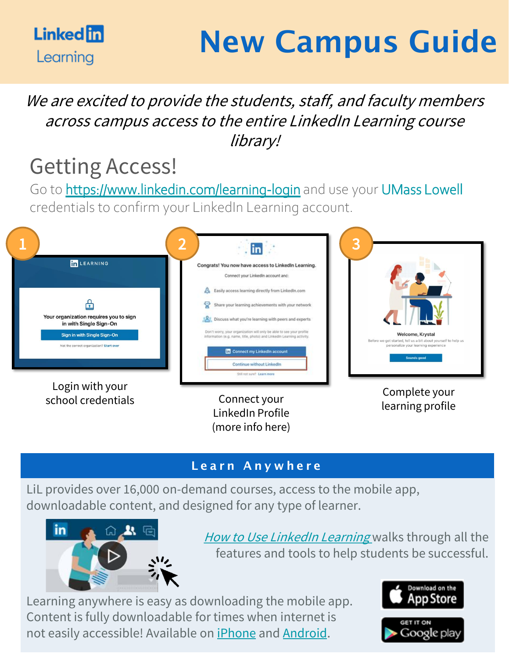

# New Campus Guide

### We are excited to provide the students, staff, and faculty members across campus access to the entire LinkedIn Learning course library!

## Getting Access!

Go to <https://www.linkedin.com/learning-login> and use your UMass Lowell credentials to confirm your LinkedIn Learning account.



#### Learn Anywhere

(more info here)

LiL provides over 16,000 on-demand courses, access to the mobile app, downloadable content, and designed for any type of learner.



[How to Use LinkedIn Learning](https://www.linkedin.com/learning/how-to-use-linkedin-learning/) walks through all the features and tools to help students be successful.

Learning anywhere is easy as downloading the mobile app. Content is fully downloadable for times when internet is not easily accessible! Available on [iPhone](https://apps.apple.com/us/app/linkedin-learning/id1084807225) and [Android.](https://play.google.com/store/apps/details?id=com.linkedin.android.learning&hl=en_US)